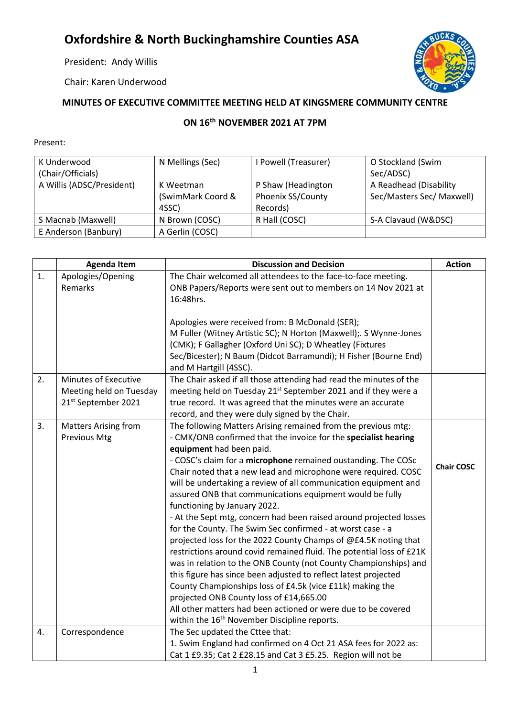## **Oxfordshire & North Buckinghamshire Counties ASA**

President: Andy Willis

Chair: Karen Underwood



## **MINUTES OF EXECUTIVE COMMITTEE MEETING HELD AT KINGSMERE COMMUNITY CENTRE**

## **ON 16th NOVEMBER 2021 AT 7PM**

## Present:

| K Underwood               | N Mellings (Sec)  | I Powell (Treasurer) | O Stockland (Swim         |
|---------------------------|-------------------|----------------------|---------------------------|
| (Chair/Officials)         |                   |                      | Sec/ADSC)                 |
| A Willis (ADSC/President) | K Weetman         | P Shaw (Headington   | A Readhead (Disability    |
|                           | (SwimMark Coord & | Phoenix SS/County    | Sec/Masters Sec/ Maxwell) |
|                           | 4SSC)             | Records)             |                           |
| S Macnab (Maxwell)        | N Brown (COSC)    | R Hall (COSC)        | S-A Clavaud (W&DSC)       |
| E Anderson (Banbury)      | A Gerlin (COSC)   |                      |                           |

|    | <b>Agenda Item</b>           | <b>Discussion and Decision</b>                                                                                                 | <b>Action</b>     |
|----|------------------------------|--------------------------------------------------------------------------------------------------------------------------------|-------------------|
| 1. | Apologies/Opening<br>Remarks | The Chair welcomed all attendees to the face-to-face meeting.<br>ONB Papers/Reports were sent out to members on 14 Nov 2021 at |                   |
|    |                              | 16:48hrs.                                                                                                                      |                   |
|    |                              | Apologies were received from: B McDonald (SER);                                                                                |                   |
|    |                              | M Fuller (Witney Artistic SC); N Horton (Maxwell);. S Wynne-Jones                                                              |                   |
|    |                              | (CMK); F Gallagher (Oxford Uni SC); D Wheatley (Fixtures                                                                       |                   |
|    |                              | Sec/Bicester); N Baum (Didcot Barramundi); H Fisher (Bourne End)<br>and M Hartgill (4SSC).                                     |                   |
| 2. | Minutes of Executive         | The Chair asked if all those attending had read the minutes of the                                                             |                   |
|    | Meeting held on Tuesday      | meeting held on Tuesday 21 <sup>st</sup> September 2021 and if they were a                                                     |                   |
|    | 21st September 2021          | true record. It was agreed that the minutes were an accurate                                                                   |                   |
|    |                              | record, and they were duly signed by the Chair.                                                                                |                   |
| 3. | <b>Matters Arising from</b>  | The following Matters Arising remained from the previous mtg:                                                                  |                   |
|    | <b>Previous Mtg</b>          | - CMK/ONB confirmed that the invoice for the specialist hearing<br>equipment had been paid.                                    |                   |
|    |                              | - COSC's claim for a microphone remained oustanding. The COSc                                                                  |                   |
|    |                              | Chair noted that a new lead and microphone were required. COSC                                                                 | <b>Chair COSC</b> |
|    |                              | will be undertaking a review of all communication equipment and                                                                |                   |
|    |                              | assured ONB that communications equipment would be fully                                                                       |                   |
|    |                              | functioning by January 2022.                                                                                                   |                   |
|    |                              | - At the Sept mtg, concern had been raised around projected losses                                                             |                   |
|    |                              | for the County. The Swim Sec confirmed - at worst case - a                                                                     |                   |
|    |                              | projected loss for the 2022 County Champs of @£4.5K noting that                                                                |                   |
|    |                              | restrictions around covid remained fluid. The potential loss of £21K                                                           |                   |
|    |                              | was in relation to the ONB County (not County Championships) and                                                               |                   |
|    |                              | this figure has since been adjusted to reflect latest projected                                                                |                   |
|    |                              | County Championships loss of £4.5k (vice £11k) making the                                                                      |                   |
|    |                              | projected ONB County loss of £14,665.00                                                                                        |                   |
|    |                              | All other matters had been actioned or were due to be covered                                                                  |                   |
|    |                              | within the 16 <sup>th</sup> November Discipline reports.                                                                       |                   |
| 4. | Correspondence               | The Sec updated the Cttee that:                                                                                                |                   |
|    |                              | 1. Swim England had confirmed on 4 Oct 21 ASA fees for 2022 as:                                                                |                   |
|    |                              | Cat 1 £9.35; Cat 2 £28.15 and Cat 3 £5.25. Region will not be                                                                  |                   |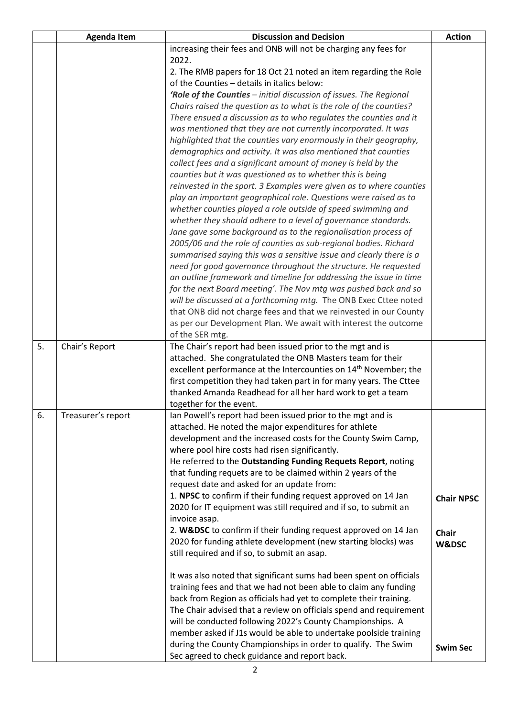|    | <b>Agenda Item</b> | <b>Discussion and Decision</b>                                                                                  | <b>Action</b>     |
|----|--------------------|-----------------------------------------------------------------------------------------------------------------|-------------------|
|    |                    | increasing their fees and ONB will not be charging any fees for                                                 |                   |
|    |                    | 2022.                                                                                                           |                   |
|    |                    | 2. The RMB papers for 18 Oct 21 noted an item regarding the Role                                                |                   |
|    |                    | of the Counties - details in italics below:                                                                     |                   |
|    |                    | 'Role of the Counties - initial discussion of issues. The Regional                                              |                   |
|    |                    | Chairs raised the question as to what is the role of the counties?                                              |                   |
|    |                    | There ensued a discussion as to who regulates the counties and it                                               |                   |
|    |                    | was mentioned that they are not currently incorporated. It was                                                  |                   |
|    |                    | highlighted that the counties vary enormously in their geography,                                               |                   |
|    |                    | demographics and activity. It was also mentioned that counties                                                  |                   |
|    |                    | collect fees and a significant amount of money is held by the                                                   |                   |
|    |                    | counties but it was questioned as to whether this is being                                                      |                   |
|    |                    | reinvested in the sport. 3 Examples were given as to where counties                                             |                   |
|    |                    | play an important geographical role. Questions were raised as to                                                |                   |
|    |                    | whether counties played a role outside of speed swimming and                                                    |                   |
|    |                    | whether they should adhere to a level of governance standards.                                                  |                   |
|    |                    | Jane gave some background as to the regionalisation process of                                                  |                   |
|    |                    | 2005/06 and the role of counties as sub-regional bodies. Richard                                                |                   |
|    |                    | summarised saying this was a sensitive issue and clearly there is a                                             |                   |
|    |                    | need for good governance throughout the structure. He requested                                                 |                   |
|    |                    | an outline framework and timeline for addressing the issue in time                                              |                   |
|    |                    | for the next Board meeting'. The Nov mtg was pushed back and so                                                 |                   |
|    |                    | will be discussed at a forthcoming mtg. The ONB Exec Cttee noted                                                |                   |
|    |                    | that ONB did not charge fees and that we reinvested in our County                                               |                   |
|    |                    | as per our Development Plan. We await with interest the outcome                                                 |                   |
|    |                    | of the SER mtg.                                                                                                 |                   |
| 5. | Chair's Report     | The Chair's report had been issued prior to the mgt and is                                                      |                   |
|    |                    | attached. She congratulated the ONB Masters team for their                                                      |                   |
|    |                    | excellent performance at the Intercounties on 14 <sup>th</sup> November; the                                    |                   |
|    |                    | first competition they had taken part in for many years. The Cttee                                              |                   |
|    |                    | thanked Amanda Readhead for all her hard work to get a team                                                     |                   |
|    |                    | together for the event.                                                                                         |                   |
| 6. | Treasurer's report | Ian Powell's report had been issued prior to the mgt and is                                                     |                   |
|    |                    | attached. He noted the major expenditures for athlete                                                           |                   |
|    |                    | development and the increased costs for the County Swim Camp,                                                   |                   |
|    |                    | where pool hire costs had risen significantly.<br>He referred to the Outstanding Funding Requets Report, noting |                   |
|    |                    | that funding requets are to be claimed within 2 years of the                                                    |                   |
|    |                    | request date and asked for an update from:                                                                      |                   |
|    |                    | 1. NPSC to confirm if their funding request approved on 14 Jan                                                  |                   |
|    |                    | 2020 for IT equipment was still required and if so, to submit an                                                | <b>Chair NPSC</b> |
|    |                    | invoice asap.                                                                                                   |                   |
|    |                    | 2. W&DSC to confirm if their funding request approved on 14 Jan                                                 |                   |
|    |                    | 2020 for funding athlete development (new starting blocks) was                                                  | <b>Chair</b>      |
|    |                    | still required and if so, to submit an asap.                                                                    | <b>W&amp;DSC</b>  |
|    |                    |                                                                                                                 |                   |
|    |                    | It was also noted that significant sums had been spent on officials                                             |                   |
|    |                    | training fees and that we had not been able to claim any funding                                                |                   |
|    |                    | back from Region as officials had yet to complete their training.                                               |                   |
|    |                    | The Chair advised that a review on officials spend and requirement                                              |                   |
|    |                    | will be conducted following 2022's County Championships. A                                                      |                   |
|    |                    | member asked if J1s would be able to undertake poolside training                                                |                   |
|    |                    | during the County Championships in order to qualify. The Swim                                                   | <b>Swim Sec</b>   |
|    |                    | Sec agreed to check guidance and report back.                                                                   |                   |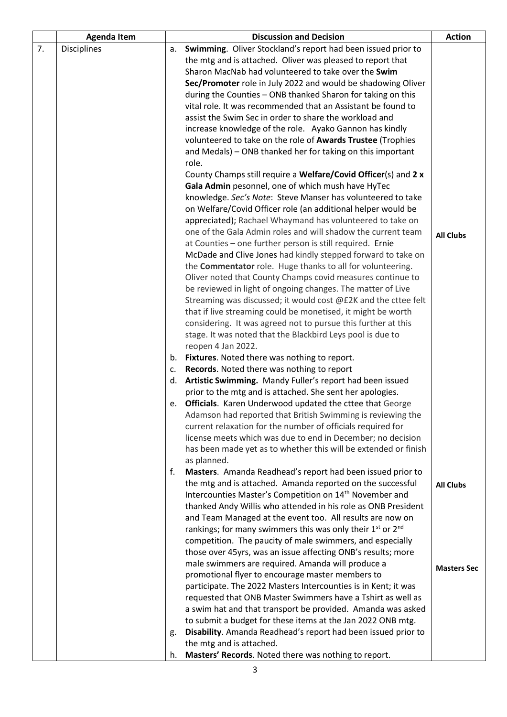|    | <b>Agenda Item</b> |    | <b>Discussion and Decision</b>                                                                                              | <b>Action</b>      |
|----|--------------------|----|-----------------------------------------------------------------------------------------------------------------------------|--------------------|
| 7. | <b>Disciplines</b> | а. | Swimming. Oliver Stockland's report had been issued prior to                                                                |                    |
|    |                    |    | the mtg and is attached. Oliver was pleased to report that                                                                  |                    |
|    |                    |    | Sharon MacNab had volunteered to take over the Swim                                                                         |                    |
|    |                    |    | Sec/Promoter role in July 2022 and would be shadowing Oliver                                                                |                    |
|    |                    |    | during the Counties - ONB thanked Sharon for taking on this                                                                 |                    |
|    |                    |    | vital role. It was recommended that an Assistant be found to                                                                |                    |
|    |                    |    | assist the Swim Sec in order to share the workload and                                                                      |                    |
|    |                    |    | increase knowledge of the role. Ayako Gannon has kindly                                                                     |                    |
|    |                    |    | volunteered to take on the role of Awards Trustee (Trophies                                                                 |                    |
|    |                    |    | and Medals) - ONB thanked her for taking on this important                                                                  |                    |
|    |                    |    | role.                                                                                                                       |                    |
|    |                    |    | County Champs still require a Welfare/Covid Officer(s) and 2 x                                                              |                    |
|    |                    |    | Gala Admin pesonnel, one of which mush have HyTec                                                                           |                    |
|    |                    |    | knowledge. Sec's Note: Steve Manser has volunteered to take                                                                 |                    |
|    |                    |    | on Welfare/Covid Officer role (an additional helper would be                                                                |                    |
|    |                    |    | appreciated); Rachael Whaymand has volunteered to take on                                                                   |                    |
|    |                    |    | one of the Gala Admin roles and will shadow the current team                                                                | <b>All Clubs</b>   |
|    |                    |    | at Counties - one further person is still required. Ernie                                                                   |                    |
|    |                    |    | McDade and Clive Jones had kindly stepped forward to take on                                                                |                    |
|    |                    |    | the <b>Commentator</b> role. Huge thanks to all for volunteering.                                                           |                    |
|    |                    |    | Oliver noted that County Champs covid measures continue to                                                                  |                    |
|    |                    |    | be reviewed in light of ongoing changes. The matter of Live                                                                 |                    |
|    |                    |    | Streaming was discussed; it would cost @£2K and the cttee felt                                                              |                    |
|    |                    |    | that if live streaming could be monetised, it might be worth                                                                |                    |
|    |                    |    | considering. It was agreed not to pursue this further at this<br>stage. It was noted that the Blackbird Leys pool is due to |                    |
|    |                    |    | reopen 4 Jan 2022.                                                                                                          |                    |
|    |                    |    | b. Fixtures. Noted there was nothing to report.                                                                             |                    |
|    |                    | c. | Records. Noted there was nothing to report                                                                                  |                    |
|    |                    | d. | Artistic Swimming. Mandy Fuller's report had been issued                                                                    |                    |
|    |                    |    | prior to the mtg and is attached. She sent her apologies.                                                                   |                    |
|    |                    |    | e. Officials. Karen Underwood updated the cttee that George                                                                 |                    |
|    |                    |    | Adamson had reported that British Swimming is reviewing the                                                                 |                    |
|    |                    |    | current relaxation for the number of officials required for                                                                 |                    |
|    |                    |    | license meets which was due to end in December; no decision                                                                 |                    |
|    |                    |    | has been made yet as to whether this will be extended or finish                                                             |                    |
|    |                    |    | as planned.                                                                                                                 |                    |
|    |                    | f. | Masters. Amanda Readhead's report had been issued prior to                                                                  |                    |
|    |                    |    | the mtg and is attached. Amanda reported on the successful                                                                  | <b>All Clubs</b>   |
|    |                    |    | Intercounties Master's Competition on 14 <sup>th</sup> November and                                                         |                    |
|    |                    |    | thanked Andy Willis who attended in his role as ONB President                                                               |                    |
|    |                    |    | and Team Managed at the event too. All results are now on                                                                   |                    |
|    |                    |    | rankings; for many swimmers this was only their 1 <sup>st</sup> or 2 <sup>nd</sup>                                          |                    |
|    |                    |    | competition. The paucity of male swimmers, and especially                                                                   |                    |
|    |                    |    | those over 45yrs, was an issue affecting ONB's results; more                                                                |                    |
|    |                    |    | male swimmers are required. Amanda will produce a                                                                           | <b>Masters Sec</b> |
|    |                    |    | promotional flyer to encourage master members to                                                                            |                    |
|    |                    |    | participate. The 2022 Masters Intercounties is in Kent; it was                                                              |                    |
|    |                    |    | requested that ONB Master Swimmers have a Tshirt as well as                                                                 |                    |
|    |                    |    | a swim hat and that transport be provided. Amanda was asked                                                                 |                    |
|    |                    |    | to submit a budget for these items at the Jan 2022 ONB mtg.                                                                 |                    |
|    |                    | g. | Disability. Amanda Readhead's report had been issued prior to                                                               |                    |
|    |                    |    | the mtg and is attached.                                                                                                    |                    |
|    |                    | h. | Masters' Records. Noted there was nothing to report.                                                                        |                    |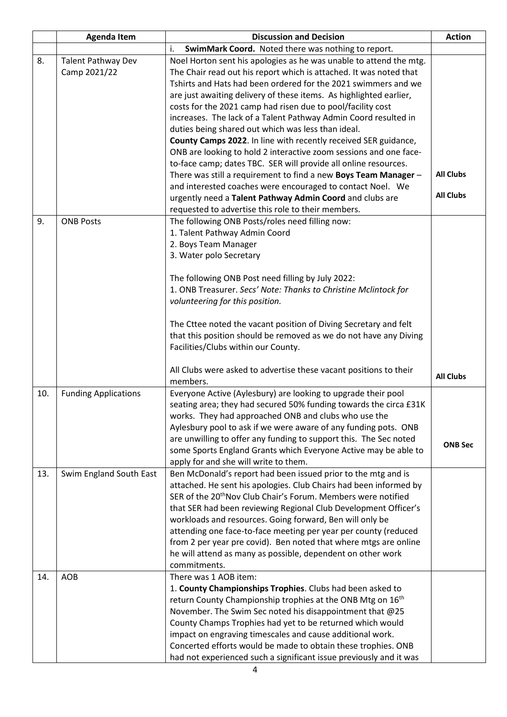|     | <b>Agenda Item</b>          | <b>Discussion and Decision</b>                                                                         | <b>Action</b>    |
|-----|-----------------------------|--------------------------------------------------------------------------------------------------------|------------------|
|     |                             | i.<br>SwimMark Coord. Noted there was nothing to report.                                               |                  |
| 8.  | <b>Talent Pathway Dev</b>   | Noel Horton sent his apologies as he was unable to attend the mtg.                                     |                  |
|     | Camp 2021/22                | The Chair read out his report which is attached. It was noted that                                     |                  |
|     |                             | Tshirts and Hats had been ordered for the 2021 swimmers and we                                         |                  |
|     |                             | are just awaiting delivery of these items. As highlighted earlier,                                     |                  |
|     |                             | costs for the 2021 camp had risen due to pool/facility cost                                            |                  |
|     |                             | increases. The lack of a Talent Pathway Admin Coord resulted in                                        |                  |
|     |                             | duties being shared out which was less than ideal.                                                     |                  |
|     |                             | County Camps 2022. In line with recently received SER guidance,                                        |                  |
|     |                             | ONB are looking to hold 2 interactive zoom sessions and one face-                                      |                  |
|     |                             | to-face camp; dates TBC. SER will provide all online resources.                                        |                  |
|     |                             | There was still a requirement to find a new Boys Team Manager -                                        | <b>All Clubs</b> |
|     |                             | and interested coaches were encouraged to contact Noel. We                                             | <b>All Clubs</b> |
|     |                             | urgently need a Talent Pathway Admin Coord and clubs are                                               |                  |
|     |                             | requested to advertise this role to their members.                                                     |                  |
| 9.  | <b>ONB Posts</b>            | The following ONB Posts/roles need filling now:                                                        |                  |
|     |                             | 1. Talent Pathway Admin Coord                                                                          |                  |
|     |                             | 2. Boys Team Manager<br>3. Water polo Secretary                                                        |                  |
|     |                             |                                                                                                        |                  |
|     |                             | The following ONB Post need filling by July 2022:                                                      |                  |
|     |                             | 1. ONB Treasurer. Secs' Note: Thanks to Christine Mclintock for                                        |                  |
|     |                             | volunteering for this position.                                                                        |                  |
|     |                             |                                                                                                        |                  |
|     |                             | The Cttee noted the vacant position of Diving Secretary and felt                                       |                  |
|     |                             | that this position should be removed as we do not have any Diving                                      |                  |
|     |                             | Facilities/Clubs within our County.                                                                    |                  |
|     |                             |                                                                                                        |                  |
|     |                             | All Clubs were asked to advertise these vacant positions to their                                      | <b>All Clubs</b> |
|     |                             | members.                                                                                               |                  |
| 10. | <b>Funding Applications</b> | Everyone Active (Aylesbury) are looking to upgrade their pool                                          |                  |
|     |                             | seating area; they had secured 50% funding towards the circa £31K                                      |                  |
|     |                             | works. They had approached ONB and clubs who use the                                                   |                  |
|     |                             | Aylesbury pool to ask if we were aware of any funding pots. ONB                                        |                  |
|     |                             | are unwilling to offer any funding to support this. The Sec noted                                      | <b>ONB Sec</b>   |
|     |                             | some Sports England Grants which Everyone Active may be able to                                        |                  |
| 13. | Swim England South East     | apply for and she will write to them.<br>Ben McDonald's report had been issued prior to the mtg and is |                  |
|     |                             | attached. He sent his apologies. Club Chairs had been informed by                                      |                  |
|     |                             | SER of the 20 <sup>th</sup> Nov Club Chair's Forum. Members were notified                              |                  |
|     |                             | that SER had been reviewing Regional Club Development Officer's                                        |                  |
|     |                             | workloads and resources. Going forward, Ben will only be                                               |                  |
|     |                             | attending one face-to-face meeting per year per county (reduced                                        |                  |
|     |                             | from 2 per year pre covid). Ben noted that where mtgs are online                                       |                  |
|     |                             | he will attend as many as possible, dependent on other work                                            |                  |
|     |                             | commitments.                                                                                           |                  |
| 14. | <b>AOB</b>                  | There was 1 AOB item:                                                                                  |                  |
|     |                             | 1. County Championships Trophies. Clubs had been asked to                                              |                  |
|     |                             | return County Championship trophies at the ONB Mtg on 16 <sup>th</sup>                                 |                  |
|     |                             | November. The Swim Sec noted his disappointment that @25                                               |                  |
|     |                             | County Champs Trophies had yet to be returned which would                                              |                  |
|     |                             | impact on engraving timescales and cause additional work.                                              |                  |
|     |                             | Concerted efforts would be made to obtain these trophies. ONB                                          |                  |
|     |                             | had not experienced such a significant issue previously and it was                                     |                  |